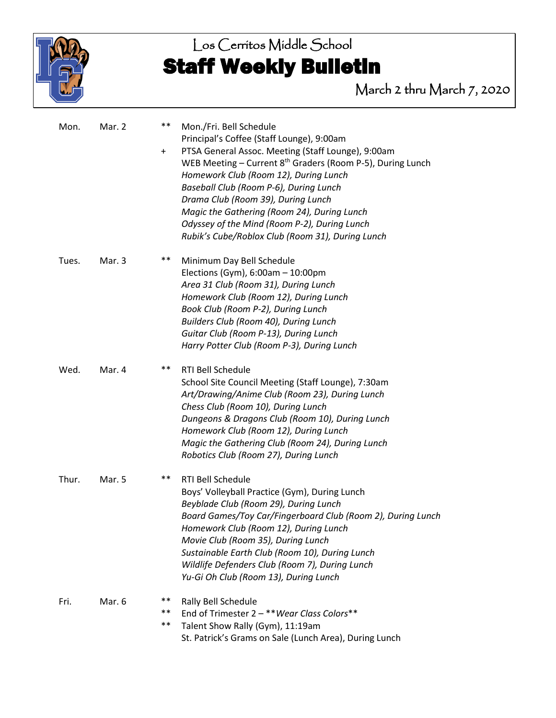

# Los Cerritos Middle School Staff Weekly Bulletin

March 2 thru March 7, 2020

| Mon.  | Mar. 2 | $***$<br>$\ddot{}$ | Mon./Fri. Bell Schedule<br>Principal's Coffee (Staff Lounge), 9:00am<br>PTSA General Assoc. Meeting (Staff Lounge), 9:00am<br>WEB Meeting - Current 8 <sup>th</sup> Graders (Room P-5), During Lunch<br>Homework Club (Room 12), During Lunch<br>Baseball Club (Room P-6), During Lunch<br>Drama Club (Room 39), During Lunch<br>Magic the Gathering (Room 24), During Lunch<br>Odyssey of the Mind (Room P-2), During Lunch<br>Rubik's Cube/Roblox Club (Room 31), During Lunch |  |
|-------|--------|--------------------|----------------------------------------------------------------------------------------------------------------------------------------------------------------------------------------------------------------------------------------------------------------------------------------------------------------------------------------------------------------------------------------------------------------------------------------------------------------------------------|--|
| Tues. | Mar. 3 | $***$              | Minimum Day Bell Schedule<br>Elections (Gym), $6:00am - 10:00pm$<br>Area 31 Club (Room 31), During Lunch<br>Homework Club (Room 12), During Lunch<br>Book Club (Room P-2), During Lunch<br>Builders Club (Room 40), During Lunch<br>Guitar Club (Room P-13), During Lunch<br>Harry Potter Club (Room P-3), During Lunch                                                                                                                                                          |  |
| Wed.  | Mar. 4 | $***$              | <b>RTI Bell Schedule</b><br>School Site Council Meeting (Staff Lounge), 7:30am<br>Art/Drawing/Anime Club (Room 23), During Lunch<br>Chess Club (Room 10), During Lunch<br>Dungeons & Dragons Club (Room 10), During Lunch<br>Homework Club (Room 12), During Lunch<br>Magic the Gathering Club (Room 24), During Lunch<br>Robotics Club (Room 27), During Lunch                                                                                                                  |  |
| Thur. | Mar. 5 | **                 | RTI Bell Schedule<br>Boys' Volleyball Practice (Gym), During Lunch<br>Beyblade Club (Room 29), During Lunch<br>Board Games/Toy Car/Fingerboard Club (Room 2), During Lunch<br>Homework Club (Room 12), During Lunch<br>Movie Club (Room 35), During Lunch<br>Sustainable Earth Club (Room 10), During Lunch<br>Wildlife Defenders Club (Room 7), During Lunch<br>Yu-Gi Oh Club (Room 13), During Lunch                                                                           |  |
| Fri.  | Mar. 6 | $***$<br>**<br>**  | Rally Bell Schedule<br>End of Trimester 2 - ** Wear Class Colors **<br>Talent Show Rally (Gym), 11:19am<br>St. Patrick's Grams on Sale (Lunch Area), During Lunch                                                                                                                                                                                                                                                                                                                |  |